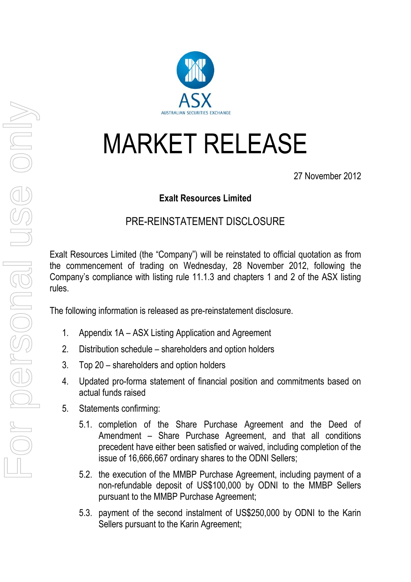## MARKET RELEASE

27 November 2012

## **Exalt Resources Limited**

## PRE-REINSTATEMENT DISCLOSURE

Exalt Resources Limited (the "Company") will be reinstated to official quotation as from the commencement of trading on Wednesday, 28 November 2012, following the Company's compliance with listing rule 11.1.3 and chapters 1 and 2 of the ASX listing rules.

The following information is released as pre-reinstatement disclosure.

- 1. Appendix 1A ASX Listing Application and Agreement
- 2. Distribution schedule shareholders and option holders
- 3. Top 20 shareholders and option holders
- 4. Updated pro-forma statement of financial position and commitments based on actual funds raised
- 5. Statements confirming:
	- 5.1. completion of the Share Purchase Agreement and the Deed of Amendment – Share Purchase Agreement, and that all conditions precedent have either been satisfied or waived, including completion of the issue of 16,666,667 ordinary shares to the ODNI Sellers;
	- 5.2. the execution of the MMBP Purchase Agreement, including payment of a non-refundable deposit of US\$100,000 by ODNI to the MMBP Sellers pursuant to the MMBP Purchase Agreement;
	- 5.3. payment of the second instalment of US\$250,000 by ODNI to the Karin Sellers pursuant to the Karin Agreement;